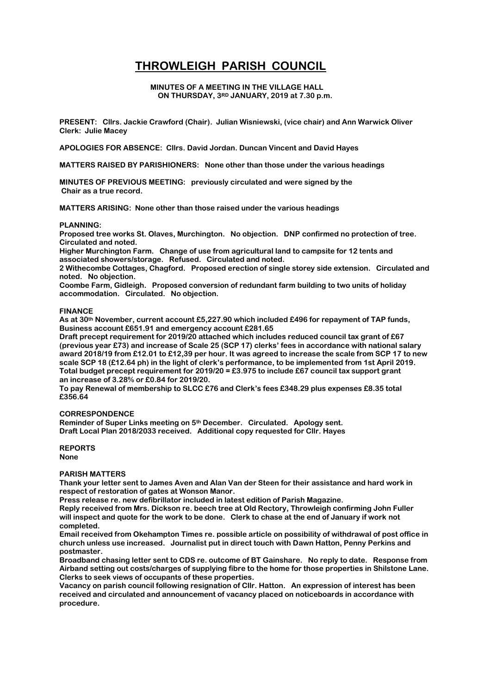# **THROWLEIGH PARISH COUNCIL**

### **MINUTES OF A MEETING IN THE VILLAGE HALL ON THURSDAY, 3RD JANUARY, 2019 at 7.30 p.m.**

**PRESENT: Cllrs. Jackie Crawford (Chair). Julian Wisniewski, (vice chair) and Ann Warwick Oliver Clerk: Julie Macey**

**APOLOGIES FOR ABSENCE: Cllrs. David Jordan. Duncan Vincent and David Hayes**

**MATTERS RAISED BY PARISHIONERS: None other than those under the various headings**

**MINUTES OF PREVIOUS MEETING: previously circulated and were signed by the Chair as a true record.**

**MATTERS ARISING: None other than those raised under the various headings**

#### **PLANNING:**

**Proposed tree works St. Olaves, Murchington. No objection. DNP confirmed no protection of tree. Circulated and noted.**

**Higher Murchington Farm. Change of use from agricultural land to campsite for 12 tents and associated showers/storage. Refused. Circulated and noted.**

**2 Withecombe Cottages, Chagford. Proposed erection of single storey side extension. Circulated and noted. No objection.**

**Coombe Farm, Gidleigh. Proposed conversion of redundant farm building to two units of holiday accommodation. Circulated. No objection.**

## **FINANCE**

**As at 30th November, current account £5,227.90 which included £496 for repayment of TAP funds, Business account £651.91 and emergency account £281.65**

**Draft precept requirement for 2019/20 attached which includes reduced council tax grant of £67 (previous year £73) and increase of Scale 25 (SCP 17) clerks' fees in accordance with national salary award 2018/19 from £12.01 to £12,39 per hour. It was agreed to increase the scale from SCP 17 to new scale SCP 18 (£12.64 ph) in the light of clerk's performance, to be implemented from 1st April 2019. Total budget precept requirement for 2019/20 = £3.975 to include £67 council tax support grant an increase of 3.28% or £0.84 for 2019/20.**

**To pay Renewal of membership to SLCC £76 and Clerk's fees £348.29 plus expenses £8.35 total £356.64**

### **CORRESPONDENCE**

**Reminder of Super Links meeting on 5th December. Circulated. Apology sent. Draft Local Plan 2018/2033 received. Additional copy requested for Cllr. Hayes** 

**REPORTS None**

# **PARISH MATTERS**

**Thank your letter sent to James Aven and Alan Van der Steen for their assistance and hard work in respect of restoration of gates at Wonson Manor.**

**Press release re. new defibrillator included in latest edition of Parish Magazine.**

**Reply received from Mrs. Dickson re. beech tree at Old Rectory, Throwleigh confirming John Fuller will inspect and quote for the work to be done. Clerk to chase at the end of January if work not completed.**

**Email received from Okehampton Times re. possible article on possibility of withdrawal of post office in church unless use increased. Journalist put in direct touch with Dawn Hatton, Penny Perkins and postmaster.**

**Broadband chasing letter sent to CDS re. outcome of BT Gainshare. No reply to date. Response from Airband setting out costs/charges of supplying fibre to the home for those properties in Shilstone Lane. Clerks to seek views of occupants of these properties.**

**Vacancy on parish council following resignation of Cllr. Hatton. An expression of interest has been received and circulated and announcement of vacancy placed on noticeboards in accordance with procedure.**